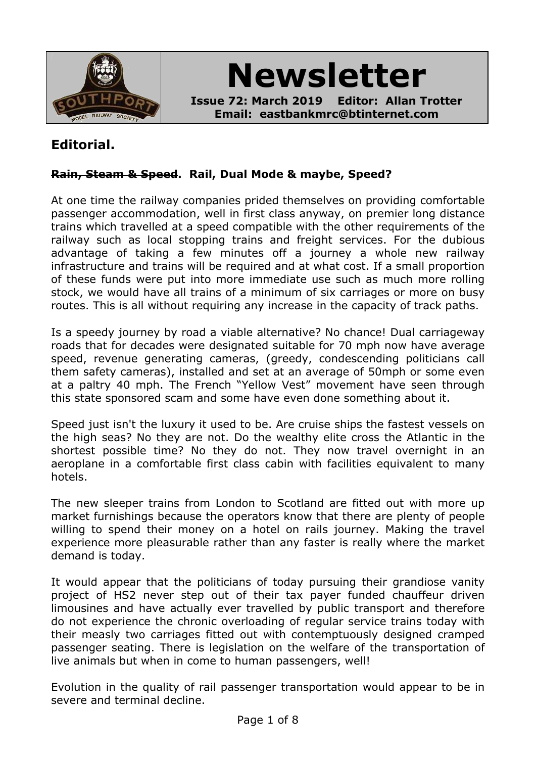

**Newsletter**

**Issue 72: March 2019 Editor: Allan Trotter Email: eastbankmrc@btinternet.com**

# **Editorial.**

## **Rain, Steam & Speed. Rail, Dual Mode & maybe, Speed?**

At one time the railway companies prided themselves on providing comfortable passenger accommodation, well in first class anyway, on premier long distance trains which travelled at a speed compatible with the other requirements of the railway such as local stopping trains and freight services. For the dubious advantage of taking a few minutes off a journey a whole new railway infrastructure and trains will be required and at what cost. If a small proportion of these funds were put into more immediate use such as much more rolling stock, we would have all trains of a minimum of six carriages or more on busy routes. This is all without requiring any increase in the capacity of track paths.

Is a speedy journey by road a viable alternative? No chance! Dual carriageway roads that for decades were designated suitable for 70 mph now have average speed, revenue generating cameras, (greedy, condescending politicians call them safety cameras), installed and set at an average of 50mph or some even at a paltry 40 mph. The French "Yellow Vest" movement have seen through this state sponsored scam and some have even done something about it.

Speed just isn't the luxury it used to be. Are cruise ships the fastest vessels on the high seas? No they are not. Do the wealthy elite cross the Atlantic in the shortest possible time? No they do not. They now travel overnight in an aeroplane in a comfortable first class cabin with facilities equivalent to many hotels.

The new sleeper trains from London to Scotland are fitted out with more up market furnishings because the operators know that there are plenty of people willing to spend their money on a hotel on rails journey. Making the travel experience more pleasurable rather than any faster is really where the market demand is today.

It would appear that the politicians of today pursuing their grandiose vanity project of HS2 never step out of their tax payer funded chauffeur driven limousines and have actually ever travelled by public transport and therefore do not experience the chronic overloading of regular service trains today with their measly two carriages fitted out with contemptuously designed cramped passenger seating. There is legislation on the welfare of the transportation of live animals but when in come to human passengers, well!

Evolution in the quality of rail passenger transportation would appear to be in severe and terminal decline.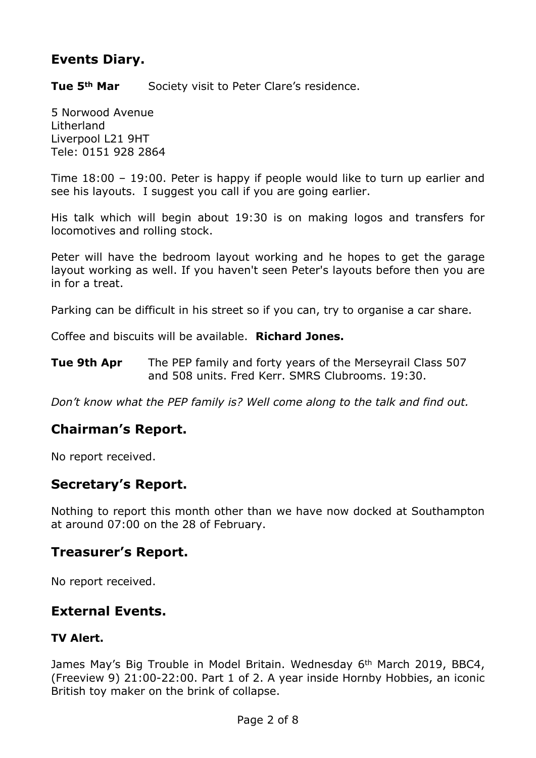# **Events Diary.**

**Tue 5th Mar** Society visit to Peter Clare's residence.

5 Norwood Avenue Litherland Liverpool L21 9HT Tele: 0151 928 2864

Time 18:00 – 19:00. Peter is happy if people would like to turn up earlier and see his layouts. I suggest you call if you are going earlier.

His talk which will begin about 19:30 is on making logos and transfers for locomotives and rolling stock.

Peter will have the bedroom layout working and he hopes to get the garage layout working as well. If you haven't seen Peter's layouts before then you are in for a treat.

Parking can be difficult in his street so if you can, try to organise a car share.

Coffee and biscuits will be available. **Richard Jones.**

**Tue 9th Apr** The PEP family and forty years of the Merseyrail Class 507 and 508 units. Fred Kerr. SMRS Clubrooms. 19:30.

*Don't know what the PEP family is? Well come along to the talk and find out.*

# **Chairman's Report.**

No report received.

## **Secretary's Report.**

Nothing to report this month other than we have now docked at Southampton at around 07:00 on the 28 of February.

## **Treasurer's Report.**

No report received.

## **External Events.**

#### **TV Alert.**

James May's Big Trouble in Model Britain. Wednesday 6th March 2019, BBC4, (Freeview 9) 21:00-22:00. Part 1 of 2. A year inside Hornby Hobbies, an iconic British toy maker on the brink of collapse.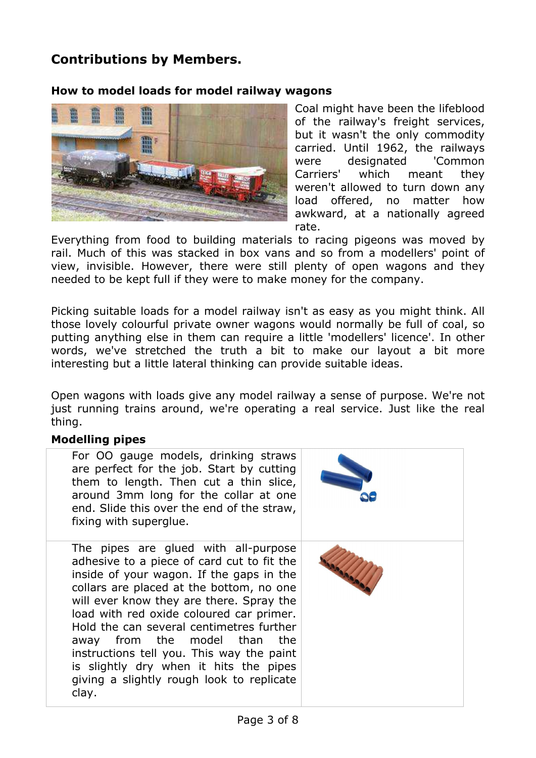# **Contributions by Members.**

#### **How to model loads for model railway wagons**



Coal might have been the lifeblood of the railway's freight services, but it wasn't the only commodity carried. Until 1962, the railways were designated 'Common Carriers' which meant they weren't allowed to turn down any load offered, no matter how awkward, at a nationally agreed rate.

Everything from food to building materials to racing pigeons was moved by rail. Much of this was stacked in box vans and so from a modellers' point of view, invisible. However, there were still plenty of open wagons and they needed to be kept full if they were to make money for the company.

Picking suitable loads for a model railway isn't as easy as you might think. All those lovely colourful private owner wagons would normally be full of coal, so putting anything else in them can require a little 'modellers' licence'. In other words, we've stretched the truth a bit to make our layout a bit more interesting but a little lateral thinking can provide suitable ideas.

Open wagons with loads give any model railway a sense of purpose. We're not just running trains around, we're operating a real service. Just like the real thing.

#### **Modelling pipes**

| For OO gauge models, drinking straws<br>are perfect for the job. Start by cutting<br>them to length. Then cut a thin slice,<br>around 3mm long for the collar at one<br>end. Slide this over the end of the straw,<br>fixing with superglue.                                                                                                                                                                                                                                                |  |
|---------------------------------------------------------------------------------------------------------------------------------------------------------------------------------------------------------------------------------------------------------------------------------------------------------------------------------------------------------------------------------------------------------------------------------------------------------------------------------------------|--|
| The pipes are glued with all-purpose<br>adhesive to a piece of card cut to fit the<br>inside of your wagon. If the gaps in the<br>collars are placed at the bottom, no one<br>will ever know they are there. Spray the<br>load with red oxide coloured car primer.<br>Hold the can several centimetres further<br>away from the model than the<br>instructions tell you. This way the paint<br>is slightly dry when it hits the pipes<br>giving a slightly rough look to replicate<br>clay. |  |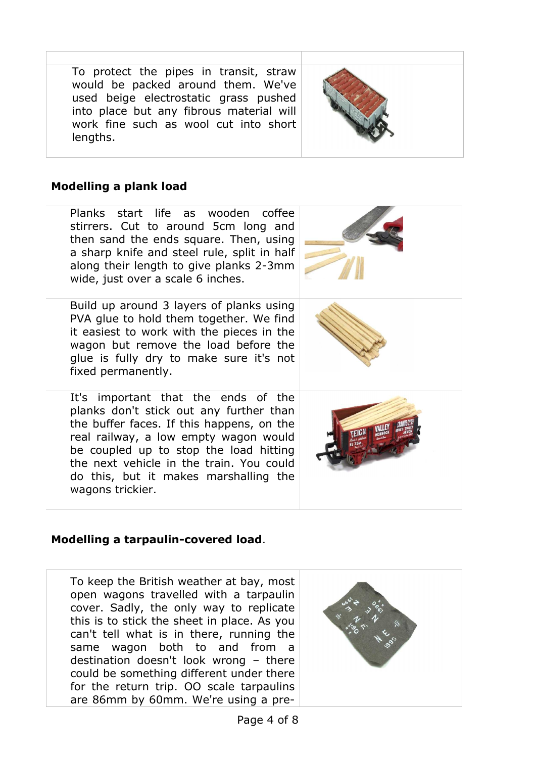To protect the pipes in transit, straw would be packed around them. We've used beige electrostatic grass pushed into place but any fibrous material will work fine such as wool cut into short lengths.



## **Modelling a plank load**

Planks start life as wooden coffee stirrers. Cut to around 5cm long and then sand the ends square. Then, using a sharp knife and steel rule, split in half along their length to give planks 2-3mm wide, just over a scale 6 inches.

Build up around 3 layers of planks using PVA glue to hold them together. We find it easiest to work with the pieces in the wagon but remove the load before the glue is fully dry to make sure it's not fixed permanently.

It's important that the ends of the planks don't stick out any further than the buffer faces. If this happens, on the real railway, a low empty wagon would be coupled up to stop the load hitting the next vehicle in the train. You could do this, but it makes marshalling the wagons trickier.





## **Modelling a tarpaulin-covered load**.

To keep the British weather at bay, most open wagons travelled with a tarpaulin cover. Sadly, the only way to replicate this is to stick the sheet in place. As you can't tell what is in there, running the same wagon both to and from a destination doesn't look wrong – there could be something different under there for the return trip. OO scale tarpaulins are 86mm by 60mm. We're using a pre-

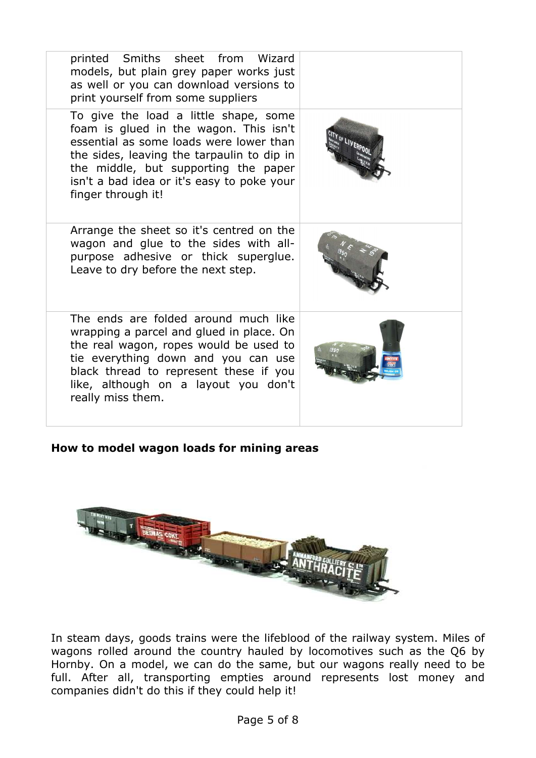| printed Smiths sheet from Wizard<br>models, but plain grey paper works just<br>as well or you can download versions to<br>print yourself from some suppliers                                                                                                                         |  |
|--------------------------------------------------------------------------------------------------------------------------------------------------------------------------------------------------------------------------------------------------------------------------------------|--|
| To give the load a little shape, some<br>foam is glued in the wagon. This isn't<br>essential as some loads were lower than<br>the sides, leaving the tarpaulin to dip in<br>the middle, but supporting the paper<br>isn't a bad idea or it's easy to poke your<br>finger through it! |  |
| Arrange the sheet so it's centred on the<br>wagon and glue to the sides with all-<br>purpose adhesive or thick superglue.<br>Leave to dry before the next step.                                                                                                                      |  |
| The ends are folded around much like<br>wrapping a parcel and glued in place. On<br>the real wagon, ropes would be used to<br>tie everything down and you can use<br>black thread to represent these if you<br>like, although on a layout you don't<br>really miss them.             |  |

**How to model wagon loads for mining areas**



In steam days, goods trains were the lifeblood of the railway system. Miles of wagons rolled around the country hauled by locomotives such as the Q6 by Hornby. On a model, we can do the same, but our wagons really need to be full. After all, transporting empties around represents lost money and companies didn't do this if they could help it!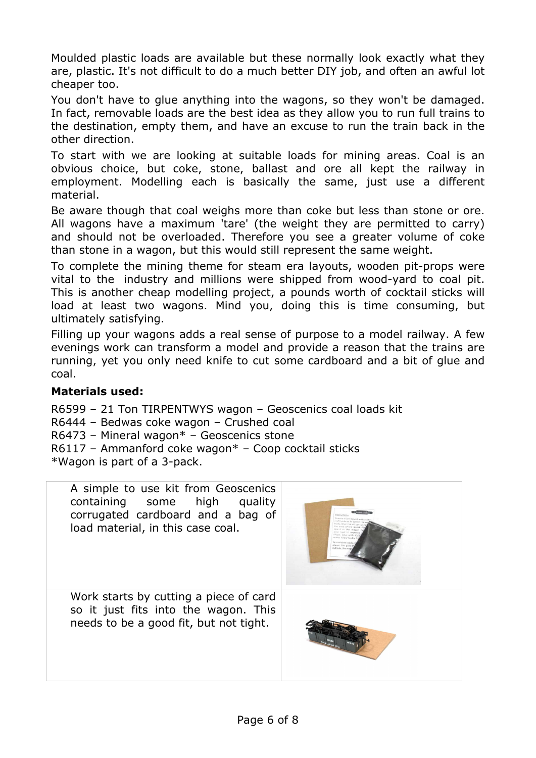Moulded plastic loads are available but these normally look exactly what they are, plastic. It's not difficult to do a much better DIY job, and often an awful lot cheaper too.

You don't have to glue anything into the wagons, so they won't be damaged. In fact, removable loads are the best idea as they allow you to run full trains to the destination, empty them, and have an excuse to run the train back in the other direction.

To start with we are looking at suitable loads for mining areas. Coal is an obvious choice, but coke, stone, ballast and ore all kept the railway in employment. Modelling each is basically the same, just use a different material.

Be aware though that coal weighs more than coke but less than stone or ore. All wagons have a maximum 'tare' (the weight they are permitted to carry) and should not be overloaded. Therefore you see a greater volume of coke than stone in a wagon, but this would still represent the same weight.

To complete the mining theme for steam era layouts, wooden pit-props were vital to the industry and millions were shipped from wood-yard to coal pit. This is another cheap modelling project, a pounds worth of cocktail sticks will load at least two wagons. Mind you, doing this is time consuming, but ultimately satisfying.

Filling up your wagons adds a real sense of purpose to a model railway. A few evenings work can transform a model and provide a reason that the trains are running, yet you only need knife to cut some cardboard and a bit of glue and coal.

## **Materials used:**

R6599 – 21 Ton TIRPENTWYS wagon – Geoscenics coal loads kit R6444 – Bedwas coke wagon – Crushed coal R6473 – Mineral wagon\* – Geoscenics stone R6117 – Ammanford coke wagon\* – Coop cocktail sticks \*Wagon is part of a 3-pack.

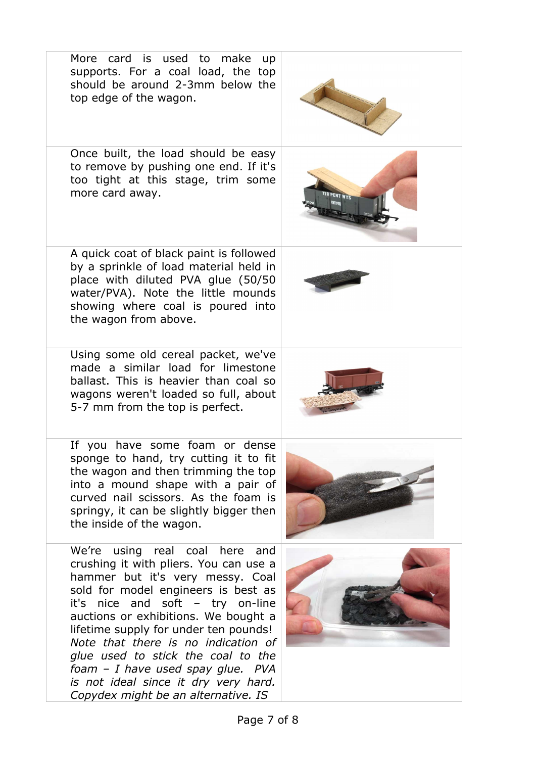| should be around 2-3mm below the<br>top edge of the wagon.                                                                                                                                                                                                                                                                                                                                                                                                                |  |
|---------------------------------------------------------------------------------------------------------------------------------------------------------------------------------------------------------------------------------------------------------------------------------------------------------------------------------------------------------------------------------------------------------------------------------------------------------------------------|--|
| Once built, the load should be easy<br>to remove by pushing one end. If it's<br>too tight at this stage, trim some<br>more card away.                                                                                                                                                                                                                                                                                                                                     |  |
| A quick coat of black paint is followed<br>by a sprinkle of load material held in<br>place with diluted PVA glue (50/50<br>water/PVA). Note the little mounds<br>showing where coal is poured into<br>the wagon from above.                                                                                                                                                                                                                                               |  |
| Using some old cereal packet, we've<br>made a similar load for limestone<br>ballast. This is heavier than coal so<br>wagons weren't loaded so full, about<br>5-7 mm from the top is perfect.                                                                                                                                                                                                                                                                              |  |
| If you have some foam or dense<br>sponge to hand, try cutting it to fit<br>the wagon and then trimming the top<br>into a mound shape with a pair of<br>curved nail scissors. As the foam is<br>springy, it can be slightly bigger then<br>the inside of the wagon.                                                                                                                                                                                                        |  |
| We're using real coal here and<br>crushing it with pliers. You can use a<br>hammer but it's very messy. Coal<br>sold for model engineers is best as<br>it's nice and soft - try on-line<br>auctions or exhibitions. We bought a<br>lifetime supply for under ten pounds!<br>Note that there is no indication of<br>glue used to stick the coal to the<br>foam - I have used spay glue. PVA<br>is not ideal since it dry very hard.<br>Copydex might be an alternative. IS |  |

More card is used to make up supports. For a coal load, the top